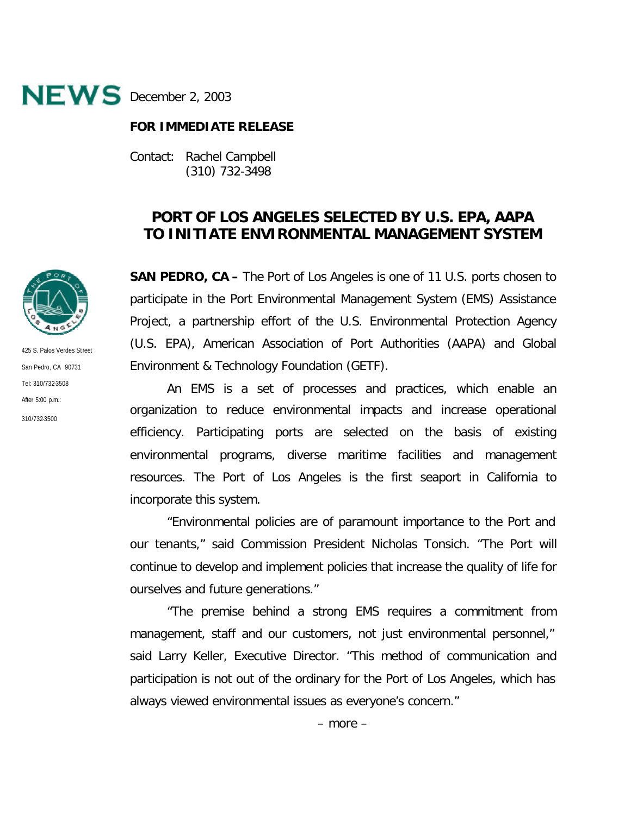

## **FOR IMMEDIATE RELEASE**

Contact: Rachel Campbell (310) 732-3498

## **PORT OF LOS ANGELES SELECTED BY U.S. EPA, AAPA TO INITIATE ENVIRONMENTAL MANAGEMENT SYSTEM**

**SAN PEDRO, CA –** The Port of Los Angeles is one of 11 U.S. ports chosen to participate in the Port Environmental Management System (EMS) Assistance Project, a partnership effort of the U.S. Environmental Protection Agency (U.S. EPA), American Association of Port Authorities (AAPA) and Global Environment & Technology Foundation (GETF).

An EMS is a set of processes and practices, which enable an organization to reduce environmental impacts and increase operational efficiency. Participating ports are selected on the basis of existing environmental programs, diverse maritime facilities and management resources. The Port of Los Angeles is the first seaport in California to incorporate this system.

"Environmental policies are of paramount importance to the Port and our tenants," said Commission President Nicholas Tonsich. "The Port will continue to develop and implement policies that increase the quality of life for ourselves and future generations."

"The premise behind a strong EMS requires a commitment from management, staff and our customers, not just environmental personnel," said Larry Keller, Executive Director. "This method of communication and participation is not out of the ordinary for the Port of Los Angeles, which has always viewed environmental issues as everyone's concern."



425 S. Palos Verdes Street San Pedro, CA 90731 Tel: 310/732-3508 After 5:00 p.m.: 310/732-3500